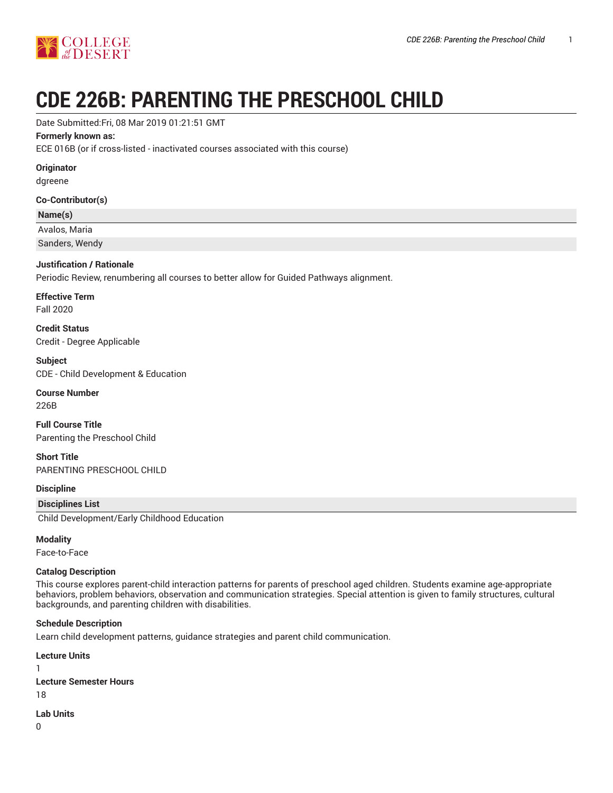

# **CDE 226B: PARENTING THE PRESCHOOL CHILD**

Date Submitted:Fri, 08 Mar 2019 01:21:51 GMT

#### **Formerly known as:**

ECE 016B (or if cross-listed - inactivated courses associated with this course)

#### **Originator**

dgreene

#### **Co-Contributor(s)**

#### **Name(s)**

Avalos, Maria

Sanders, Wendy

#### **Justification / Rationale**

Periodic Review, renumbering all courses to better allow for Guided Pathways alignment.

**Effective Term**

Fall 2020

**Credit Status** Credit - Degree Applicable

**Subject** CDE - Child Development & Education

#### **Course Number**

226B

**Full Course Title** Parenting the Preschool Child

**Short Title** PARENTING PRESCHOOL CHILD

#### **Discipline**

#### **Disciplines List**

Child Development/Early Childhood Education

#### **Modality**

Face-to-Face

#### **Catalog Description**

This course explores parent-child interaction patterns for parents of preschool aged children. Students examine age-appropriate behaviors, problem behaviors, observation and communication strategies. Special attention is given to family structures, cultural backgrounds, and parenting children with disabilities.

#### **Schedule Description**

Learn child development patterns, guidance strategies and parent child communication.

**Lecture Units** 1 **Lecture Semester Hours** 18

**Lab Units**

0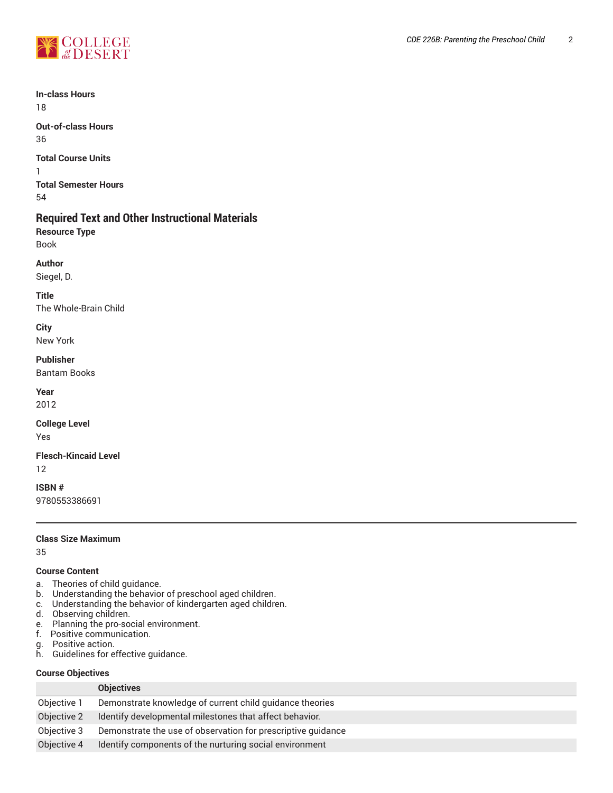

**In-class Hours** 18

**Out-of-class Hours** 36

**Total Course Units**

1 **Total Semester Hours** 54

# **Required Text and Other Instructional Materials**

**Resource Type** Book

**Author**

Siegel, D.

**Title** The Whole-Brain Child

**City** New York

#### **Publisher**

Bantam Books

**Year**

2012

**College Level**

Yes

# **Flesch-Kincaid Level**

12

**ISBN #** 9780553386691

#### **Class Size Maximum**

35

#### **Course Content**

- a. Theories of child guidance.
- b. Understanding the behavior of preschool aged children.
- c. Understanding the behavior of kindergarten aged children.
- d. Observing children.
- e. Planning the pro-social environment.
- f. Positive communication.
- g. Positive action.<br>h. Guidelines for e
- Guidelines for effective guidance.

#### **Course Objectives**

|             | <b>Objectives</b>                                            |
|-------------|--------------------------------------------------------------|
| Objective 1 | Demonstrate knowledge of current child guidance theories     |
| Objective 2 | Identify developmental milestones that affect behavior.      |
| Objective 3 | Demonstrate the use of observation for prescriptive quidance |
| Objective 4 | Identify components of the nurturing social environment      |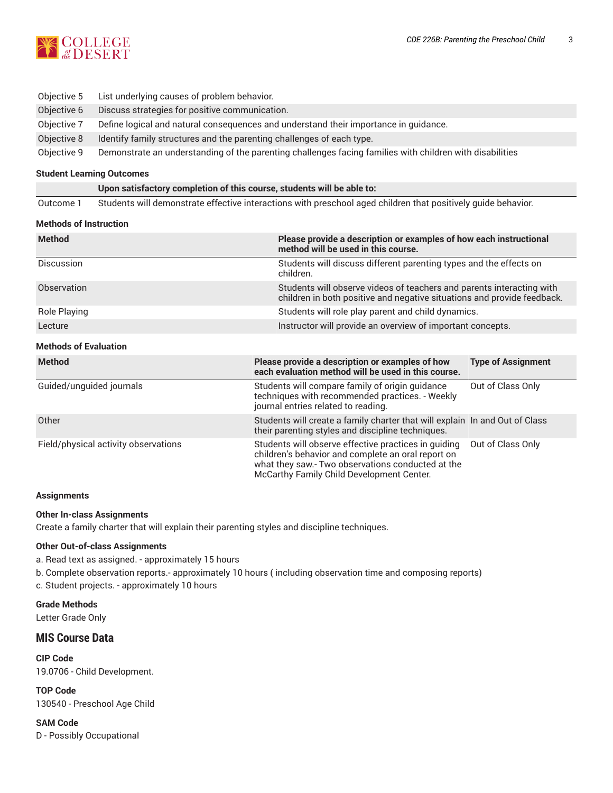| Objective 5 | List underlying causes of problem behavior.                                                              |
|-------------|----------------------------------------------------------------------------------------------------------|
| Objective 6 | Discuss strategies for positive communication.                                                           |
| Objective 7 | Define logical and natural consequences and understand their importance in quidance.                     |
| Objective 8 | Identify family structures and the parenting challenges of each type.                                    |
| Objective 9 | Demonstrate an understanding of the parenting challenges facing families with children with disabilities |

#### **Student Learning Outcomes**

**Upon satisfactory completion of this course, students will be able to:**

Outcome 1 Students will demonstrate effective interactions with preschool aged children that positively guide behavior.

#### **Methods of Instruction**

| <b>Method</b>                                                                                                                                                   | Please provide a description or examples of how each instructional<br>method will be used in this course.                                                                                                    |                           |  |
|-----------------------------------------------------------------------------------------------------------------------------------------------------------------|--------------------------------------------------------------------------------------------------------------------------------------------------------------------------------------------------------------|---------------------------|--|
| Discussion                                                                                                                                                      | Students will discuss different parenting types and the effects on<br>children.                                                                                                                              |                           |  |
| Observation<br>Students will observe videos of teachers and parents interacting with<br>children in both positive and negative situations and provide feedback. |                                                                                                                                                                                                              |                           |  |
| Role Playing                                                                                                                                                    | Students will role play parent and child dynamics.                                                                                                                                                           |                           |  |
| Lecture                                                                                                                                                         | Instructor will provide an overview of important concepts.                                                                                                                                                   |                           |  |
| <b>Methods of Evaluation</b>                                                                                                                                    |                                                                                                                                                                                                              |                           |  |
| <b>Method</b>                                                                                                                                                   | Please provide a description or examples of how<br>each evaluation method will be used in this course.                                                                                                       | <b>Type of Assignment</b> |  |
| Guided/unguided journals                                                                                                                                        | Students will compare family of origin quidance<br>techniques with recommended practices. - Weekly<br>journal entries related to reading.                                                                    | Out of Class Only         |  |
| Other                                                                                                                                                           | Students will create a family charter that will explain In and Out of Class<br>their parenting styles and discipline techniques.                                                                             |                           |  |
| Field/physical activity observations                                                                                                                            | Students will observe effective practices in guiding<br>children's behavior and complete an oral report on<br>what they saw.- Two observations conducted at the<br>McCarthy Family Child Development Center. | Out of Class Only         |  |

#### **Assignments**

#### **Other In-class Assignments**

Create a family charter that will explain their parenting styles and discipline techniques.

#### **Other Out-of-class Assignments**

a. Read text as assigned. - approximately 15 hours

b. Complete observation reports.- approximately 10 hours ( including observation time and composing reports)

c. Student projects. - approximately 10 hours

**Grade Methods** Letter Grade Only

### **MIS Course Data**

**CIP Code** 19.0706 - Child Development.

**TOP Code** 130540 - Preschool Age Child

**SAM Code** D - Possibly Occupational